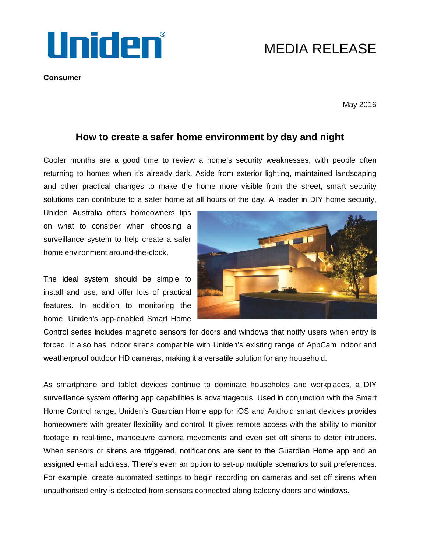

**Consumer**

## MEDIA RELEASE

May 2016

## **How to create a safer home environment by day and night**

Cooler months are a good time to review a home's security weaknesses, with people often returning to homes when it's already dark. Aside from exterior lighting, maintained landscaping and other practical changes to make the home more visible from the street, smart security solutions can contribute to a safer home at all hours of the day. A leader in DIY home security,

Uniden Australia offers homeowners tips on what to consider when choosing a surveillance system to help create a safer home environment around-the-clock.

The ideal system should be simple to install and use, and offer lots of practical features. In addition to monitoring the home, Uniden's app-enabled Smart Home



Control series includes magnetic sensors for doors and windows that notify users when entry is forced. It also has indoor sirens compatible with Uniden's existing range of AppCam indoor and weatherproof outdoor HD cameras, making it a versatile solution for any household.

As smartphone and tablet devices continue to dominate households and workplaces, a DIY surveillance system offering app capabilities is advantageous. Used in conjunction with the Smart Home Control range, Uniden's Guardian Home app for iOS and Android smart devices provides homeowners with greater flexibility and control. It gives remote access with the ability to monitor footage in real-time, manoeuvre camera movements and even set off sirens to deter intruders. When sensors or sirens are triggered, notifications are sent to the Guardian Home app and an assigned e-mail address. There's even an option to set-up multiple scenarios to suit preferences. For example, create automated settings to begin recording on cameras and set off sirens when unauthorised entry is detected from sensors connected along balcony doors and windows.